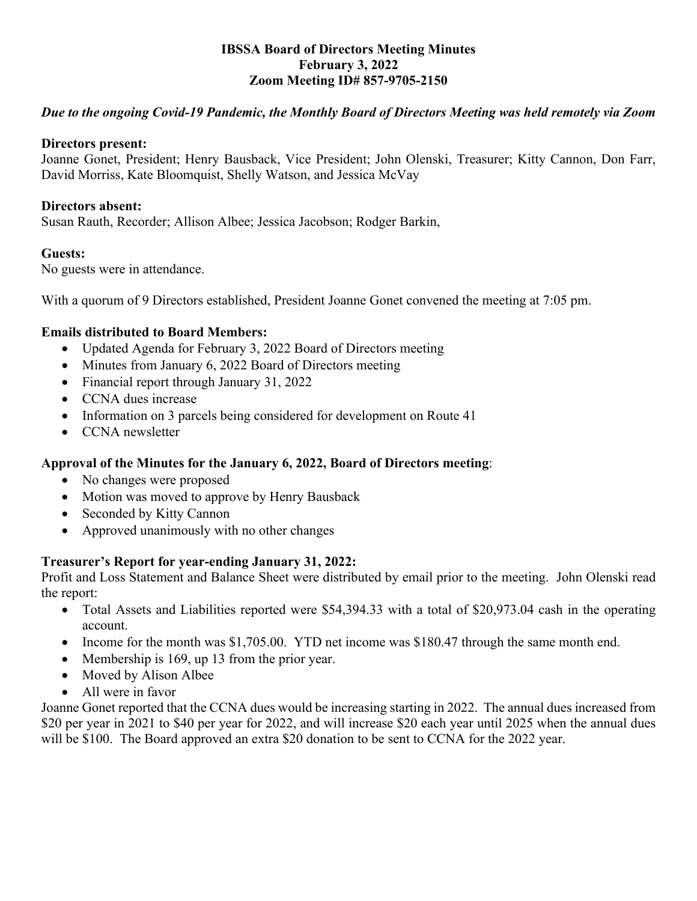#### **IBSSA Board of Directors Meeting Minutes February 3, 2022 Zoom Meeting ID# 857-9705-2150**

# *Due to the ongoing Covid-19 Pandemic, the Monthly Board of Directors Meeting was held remotely via Zoom*

#### **Directors present:**

Joanne Gonet, President; Henry Bausback, Vice President; John Olenski, Treasurer; Kitty Cannon, Don Farr, David Morriss, Kate Bloomquist, Shelly Watson, and Jessica McVay

#### **Directors absent:**

Susan Rauth, Recorder; Allison Albee; Jessica Jacobson; Rodger Barkin,

## **Guests:**

No guests were in attendance.

With a quorum of 9 Directors established, President Joanne Gonet convened the meeting at 7:05 pm.

#### **Emails distributed to Board Members:**

- Updated Agenda for February 3, 2022 Board of Directors meeting
- Minutes from January 6, 2022 Board of Directors meeting
- Financial report through January 31, 2022
- CCNA dues increase
- Information on 3 parcels being considered for development on Route 41
- CCNA newsletter

## **Approval of the Minutes for the January 6, 2022, Board of Directors meeting**:

- No changes were proposed
- Motion was moved to approve by Henry Bausback
- Seconded by Kitty Cannon
- Approved unanimously with no other changes

## **Treasurer's Report for year-ending January 31, 2022:**

Profit and Loss Statement and Balance Sheet were distributed by email prior to the meeting. John Olenski read the report:

- Total Assets and Liabilities reported were \$54,394.33 with a total of \$20,973.04 cash in the operating account.
- Income for the month was \$1,705.00. YTD net income was \$180.47 through the same month end.
- Membership is 169, up 13 from the prior year.
- Moved by Alison Albee
- All were in favor

Joanne Gonet reported that the CCNA dues would be increasing starting in 2022. The annual dues increased from \$20 per year in 2021 to \$40 per year for 2022, and will increase \$20 each year until 2025 when the annual dues will be \$100. The Board approved an extra \$20 donation to be sent to CCNA for the 2022 year.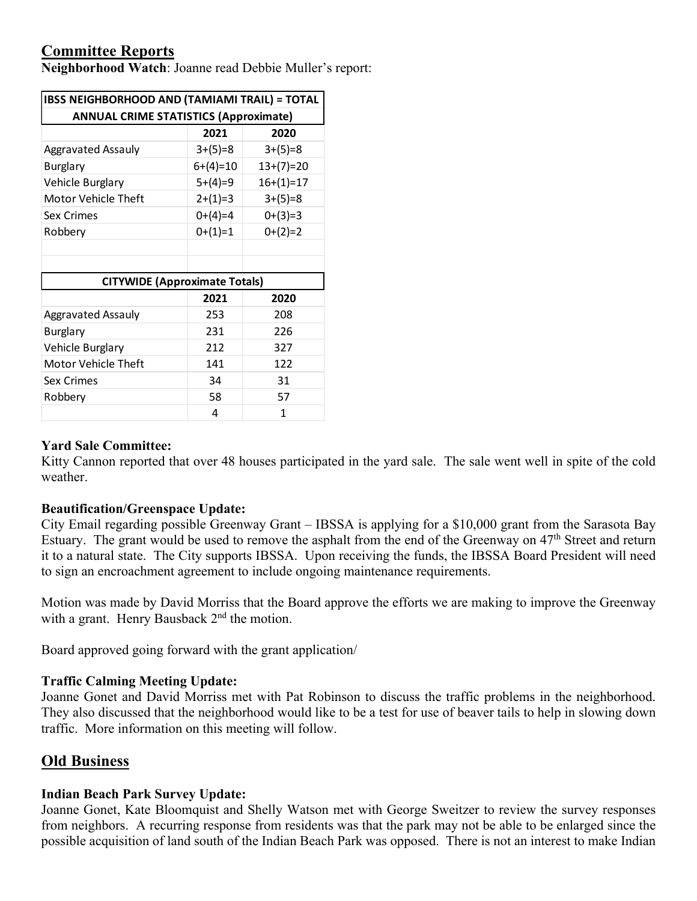# **Committee Reports**

**Neighborhood Watch**: Joanne read Debbie Muller's report:

| <b>IBSS NEIGHBORHOOD AND (TAMIAMI TRAIL) = TOTAL</b><br><b>ANNUAL CRIME STATISTICS (Approximate)</b> |            |             |
|------------------------------------------------------------------------------------------------------|------------|-------------|
|                                                                                                      |            |             |
| Aggravated Assauly                                                                                   | $3+(5)=8$  | $3+(5)=8$   |
| <b>Burglary</b>                                                                                      | $6+(4)=10$ | $13+(7)=20$ |
| Vehicle Burglary                                                                                     | $5+(4)=9$  | $16+(1)=17$ |
| Motor Vehicle Theft                                                                                  | $2+(1)=3$  | $3+(5)=8$   |
| Sex Crimes                                                                                           | $0+(4)=4$  | $0+(3)=3$   |
| Robbery                                                                                              | $0+(1)=1$  | $0+(2)=2$   |
|                                                                                                      |            |             |
|                                                                                                      |            |             |
| <b>CITYWIDE (Approximate Totals)</b>                                                                 |            |             |
|                                                                                                      | 2021       | 2020        |
| <b>Aggravated Assauly</b>                                                                            | 253        | 208         |
| <b>Burglary</b>                                                                                      | 231        | 226         |
| Vehicle Burglary                                                                                     | 212        | 327         |
| Motor Vehicle Theft                                                                                  | 141        | 122         |
| Sex Crimes                                                                                           | 34         | 31          |
| Robbery                                                                                              | 58         | 57          |
|                                                                                                      | 4          | 1           |

#### **Yard Sale Committee:**

Kitty Cannon reported that over 48 houses participated in the yard sale. The sale went well in spite of the cold weather.

#### **Beautification/Greenspace Update:**

City Email regarding possible Greenway Grant – IBSSA is applying for a \$10,000 grant from the Sarasota Bay Estuary. The grant would be used to remove the asphalt from the end of the Greenway on 47th Street and return it to a natural state. The City supports IBSSA. Upon receiving the funds, the IBSSA Board President will need to sign an encroachment agreement to include ongoing maintenance requirements.

Motion was made by David Morriss that the Board approve the efforts we are making to improve the Greenway with a grant. Henry Bausback 2<sup>nd</sup> the motion.

Board approved going forward with the grant application/

#### **Traffic Calming Meeting Update:**

Joanne Gonet and David Morriss met with Pat Robinson to discuss the traffic problems in the neighborhood. They also discussed that the neighborhood would like to be a test for use of beaver tails to help in slowing down traffic. More information on this meeting will follow.

## **Old Business**

#### **Indian Beach Park Survey Update:**

Joanne Gonet, Kate Bloomquist and Shelly Watson met with George Sweitzer to review the survey responses from neighbors. A recurring response from residents was that the park may not be able to be enlarged since the possible acquisition of land south of the Indian Beach Park was opposed. There is not an interest to make Indian